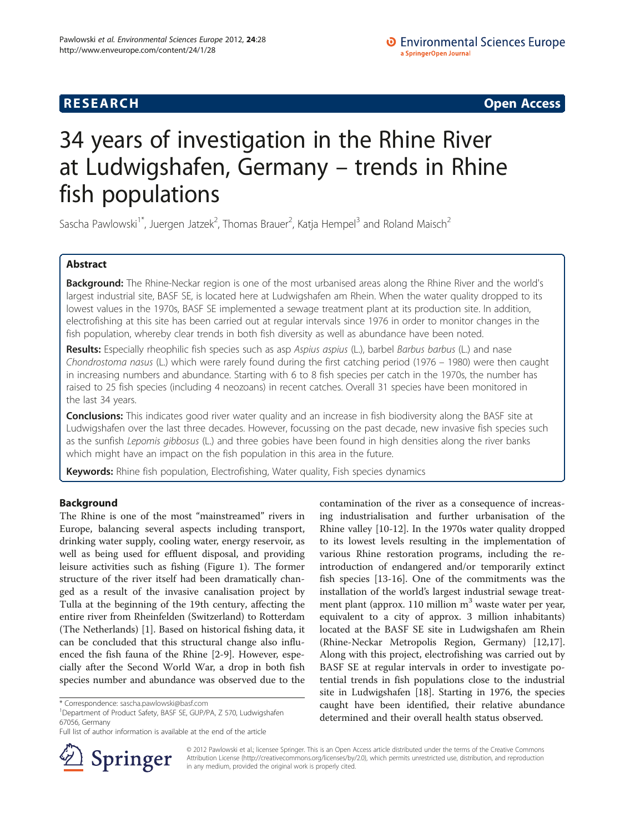**RESEARCH RESEARCH CONSUMING ACCESS** 

# 34 years of investigation in the Rhine River at Ludwigshafen, Germany – trends in Rhine fish populations

Sascha Pawlowski<sup>1\*</sup>, Juergen Jatzek<sup>2</sup>, Thomas Brauer<sup>2</sup>, Katja Hempel<sup>3</sup> and Roland Maisch<sup>2</sup>

# Abstract

Background: The Rhine-Neckar region is one of the most urbanised areas along the Rhine River and the world's largest industrial site, BASF SE, is located here at Ludwigshafen am Rhein. When the water quality dropped to its lowest values in the 1970s, BASF SE implemented a sewage treatment plant at its production site. In addition, electrofishing at this site has been carried out at regular intervals since 1976 in order to monitor changes in the fish population, whereby clear trends in both fish diversity as well as abundance have been noted.

Results: Especially rheophilic fish species such as asp Aspius aspius (L.), barbel Barbus barbus (L.) and nase Chondrostoma nasus (L.) which were rarely found during the first catching period (1976 – 1980) were then caught in increasing numbers and abundance. Starting with 6 to 8 fish species per catch in the 1970s, the number has raised to 25 fish species (including 4 neozoans) in recent catches. Overall 31 species have been monitored in the last 34 years.

**Conclusions:** This indicates good river water quality and an increase in fish biodiversity along the BASF site at Ludwigshafen over the last three decades. However, focussing on the past decade, new invasive fish species such as the sunfish Lepomis gibbosus (L.) and three gobies have been found in high densities along the river banks which might have an impact on the fish population in this area in the future.

Keywords: Rhine fish population, Electrofishing, Water quality, Fish species dynamics

# Background

The Rhine is one of the most "mainstreamed" rivers in Europe, balancing several aspects including transport, drinking water supply, cooling water, energy reservoir, as well as being used for effluent disposal, and providing leisure activities such as fishing (Figure [1\)](#page-1-0). The former structure of the river itself had been dramatically changed as a result of the invasive canalisation project by Tulla at the beginning of the 19th century, affecting the entire river from Rheinfelden (Switzerland) to Rotterdam (The Netherlands) [\[1](#page-6-0)]. Based on historical fishing data, it can be concluded that this structural change also influenced the fish fauna of the Rhine [[2-9](#page-6-0)]. However, especially after the Second World War, a drop in both fish species number and abundance was observed due to the

Department of Product Safety, BASF SE, GUP/PA, Z 570, Ludwigshafen 67056, Germany

contamination of the river as a consequence of increasing industrialisation and further urbanisation of the Rhine valley [\[10-12](#page-6-0)]. In the 1970s water quality dropped to its lowest levels resulting in the implementation of various Rhine restoration programs, including the reintroduction of endangered and/or temporarily extinct fish species [[13-16](#page-6-0)]. One of the commitments was the installation of the world's largest industrial sewage treatment plant (approx. 110 million  $m<sup>3</sup>$  waste water per year, equivalent to a city of approx. 3 million inhabitants) located at the BASF SE site in Ludwigshafen am Rhein (Rhine-Neckar Metropolis Region, Germany) [\[12,17](#page-6-0)]. Along with this project, electrofishing was carried out by BASF SE at regular intervals in order to investigate potential trends in fish populations close to the industrial site in Ludwigshafen [[18\]](#page-6-0). Starting in 1976, the species caught have been identified, their relative abundance determined and their overall health status observed.



© 2012 Pawlowski et al.; licensee Springer. This is an Open Access article distributed under the terms of the Creative Commons Attribution License [\(http://creativecommons.org/licenses/by/2.0\)](http://creativecommons.org/licenses/by/2.0), which permits unrestricted use, distribution, and reproduction in any medium, provided the original work is properly cited.

<sup>\*</sup> Correspondence: [sascha.pawlowski@basf.com](mailto:sascha.pawlowski@basf.com) <sup>1</sup>

Full list of author information is available at the end of the article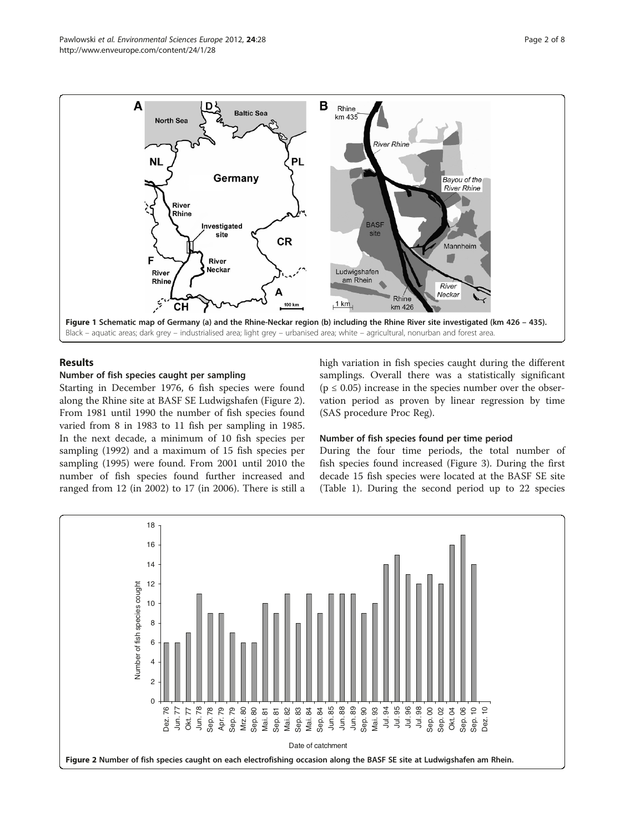<span id="page-1-0"></span>

# Results

#### Number of fish species caught per sampling

Starting in December 1976, 6 fish species were found along the Rhine site at BASF SE Ludwigshafen (Figure 2). From 1981 until 1990 the number of fish species found varied from 8 in 1983 to 11 fish per sampling in 1985. In the next decade, a minimum of 10 fish species per sampling (1992) and a maximum of 15 fish species per sampling (1995) were found. From 2001 until 2010 the number of fish species found further increased and ranged from 12 (in 2002) to 17 (in 2006). There is still a high variation in fish species caught during the different samplings. Overall there was a statistically significant  $(p \le 0.05)$  increase in the species number over the observation period as proven by linear regression by time (SAS procedure Proc Reg).

#### Number of fish species found per time period

During the four time periods, the total number of fish species found increased (Figure [3\)](#page-2-0). During the first decade 15 fish species were located at the BASF SE site (Table [1\)](#page-3-0). During the second period up to 22 species

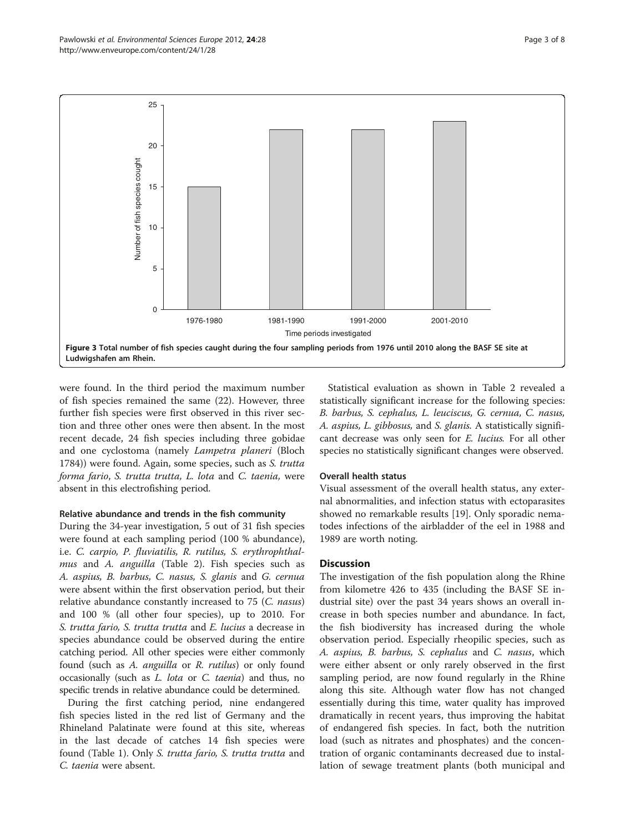<span id="page-2-0"></span>

were found. In the third period the maximum number of fish species remained the same (22). However, three further fish species were first observed in this river section and three other ones were then absent. In the most recent decade, 24 fish species including three gobidae and one cyclostoma (namely Lampetra planeri (Bloch 1784)) were found. Again, some species, such as S. trutta forma fario, S. trutta trutta, L. lota and C. taenia, were absent in this electrofishing period.

### Relative abundance and trends in the fish community

During the 34-year investigation, 5 out of 31 fish species were found at each sampling period (100 % abundance), i.e. C. carpio, P. fluviatilis, R. rutilus, S. erythrophthal-mus and A. anguilla (Table [2\)](#page-4-0). Fish species such as A. aspius, B. barbus, C. nasus, S. glanis and G. cernua were absent within the first observation period, but their relative abundance constantly increased to 75 (C. nasus) and 100 % (all other four species), up to 2010. For S. trutta fario, S. trutta trutta and E. lucius a decrease in species abundance could be observed during the entire catching period. All other species were either commonly found (such as A. anguilla or R. rutilus) or only found occasionally (such as L. lota or C. taenia) and thus, no specific trends in relative abundance could be determined.

During the first catching period, nine endangered fish species listed in the red list of Germany and the Rhineland Palatinate were found at this site, whereas in the last decade of catches 14 fish species were found (Table [1](#page-3-0)). Only S. trutta fario, S. trutta trutta and C. taenia were absent.

Statistical evaluation as shown in Table [2](#page-4-0) revealed a statistically significant increase for the following species: B. barbus, S. cephalus, L. leuciscus, G. cernua, C. nasus, A. aspius, L. gibbosus, and S. glanis. A statistically significant decrease was only seen for E. lucius. For all other species no statistically significant changes were observed.

#### Overall health status

Visual assessment of the overall health status, any external abnormalities, and infection status with ectoparasites showed no remarkable results [[19\]](#page-6-0). Only sporadic nematodes infections of the airbladder of the eel in 1988 and 1989 are worth noting.

#### **Discussion**

The investigation of the fish population along the Rhine from kilometre 426 to 435 (including the BASF SE industrial site) over the past 34 years shows an overall increase in both species number and abundance. In fact, the fish biodiversity has increased during the whole observation period. Especially rheopilic species, such as A. aspius, B. barbus, S. cephalus and C. nasus, which were either absent or only rarely observed in the first sampling period, are now found regularly in the Rhine along this site. Although water flow has not changed essentially during this time, water quality has improved dramatically in recent years, thus improving the habitat of endangered fish species. In fact, both the nutrition load (such as nitrates and phosphates) and the concentration of organic contaminants decreased due to installation of sewage treatment plants (both municipal and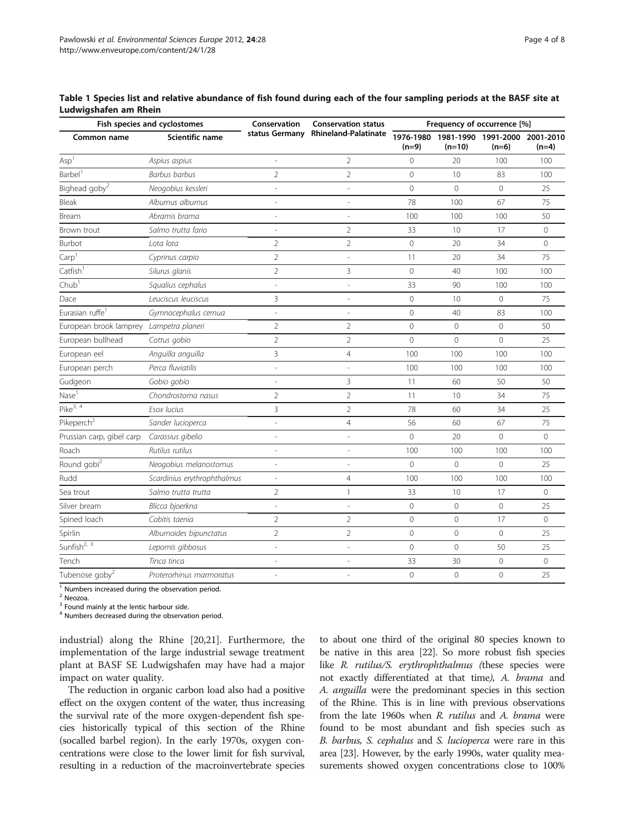<span id="page-3-0"></span>

| Table 1 Species list and relative abundance of fish found during each of the four sampling periods at the BASF site at |  |  |
|------------------------------------------------------------------------------------------------------------------------|--|--|
| Ludwigshafen am Rhein                                                                                                  |  |  |

| Fish species and cyclostomes |                             | Conservation             | <b>Conservation status</b>          | Frequency of occurrence [%] |                |                                          |                |
|------------------------------|-----------------------------|--------------------------|-------------------------------------|-----------------------------|----------------|------------------------------------------|----------------|
| Common name                  | Scientific name             |                          | status Germany Rhineland-Palatinate | 1976-1980<br>$(n=9)$        | $(n=10)$       | 1981-1990 1991-2000 2001-2010<br>$(n=6)$ | $(n=4)$        |
| Asp <sup>1</sup>             | Aspius aspius               | $\overline{\phantom{a}}$ | $\overline{2}$                      | 0                           | 20             | 100                                      | 100            |
| Barbel <sup>1</sup>          | <b>Barbus barbus</b>        | $\overline{2}$           | $\overline{2}$                      | $\overline{0}$              | 10             | 83                                       | 100            |
| Bighead goby <sup>2</sup>    | Neogobius kessleri          | L,                       |                                     | 0                           | $\mathbf{0}$   | $\mathbf 0$                              | 25             |
| Bleak                        | Alburnus alburnus           | L,                       |                                     | 78                          | 100            | 67                                       | 75             |
| Bream                        | Abramis brama               | $\overline{\phantom{a}}$ | $\overline{\phantom{a}}$            | 100                         | 100            | 100                                      | 50             |
| Brown trout                  | Salmo trutta fario          | ÷,                       | $\overline{2}$                      | 33                          | 10             | 17                                       | $\overline{0}$ |
| Burbot                       | Lota lota                   | $\overline{2}$           | $\overline{2}$                      | $\mathbf 0$                 | 20             | 34                                       | $\overline{0}$ |
| Carp <sup>1</sup>            | Cyprinus carpio             | $\overline{2}$           |                                     | 11                          | 20             | 34                                       | 75             |
| Catfish <sup>1</sup>         | Silurus glanis              | $\overline{2}$           | 3                                   | 0                           | 40             | 100                                      | 100            |
| Chub <sup>1</sup>            | Squalius cephalus           | $\overline{\phantom{a}}$ |                                     | 33                          | 90             | 100                                      | 100            |
| Dace                         | Leuciscus leuciscus         | 3                        |                                     | 0                           | 10             | $\mathbf 0$                              | 75             |
| Eurasian ruffe <sup>1</sup>  | Gymnocephalus cernua        | $\frac{1}{2}$            |                                     | $\mathbf 0$                 | 40             | 83                                       | 100            |
| European brook lamprey       | Lampetra planeri            | $\overline{2}$           | $\overline{2}$                      | $\mathbf 0$                 | $\mathbf 0$    | $\mathbf 0$                              | 50             |
| European bullhead            | Cottus gobio                | $\overline{2}$           | $\overline{2}$                      | $\overline{0}$              | $\overline{0}$ | $\overline{0}$                           | 25             |
| European eel                 | Anguilla anguilla           | $\overline{3}$           | $\overline{4}$                      | 100                         | 100            | 100                                      | 100            |
| European perch               | Perca fluviatilis           | $\frac{1}{2}$            |                                     | 100                         | 100            | 100                                      | 100            |
| Gudgeon                      | Gobio gobio                 |                          | 3                                   | 11                          | 60             | 50                                       | 50             |
| Nase <sup>1</sup>            | Chondrostoma nasus          | $\overline{2}$           | $\overline{2}$                      | 11                          | 10             | 34                                       | 75             |
| $Pike^{3, 4}$                | Esox lucius                 | 3                        | $\overline{2}$                      | 78                          | 60             | 34                                       | 25             |
| Pikeperch <sup>2</sup>       | Sander lucioperca           | L,                       | $\overline{4}$                      | 56                          | 60             | 67                                       | 75             |
| Prussian carp, gibel carp    | Carassius gibelio           | L,                       |                                     | $\mathbf 0$                 | 20             | $\mathbf 0$                              | $\overline{0}$ |
| Roach                        | Rutilus rutilus             | ÷,                       |                                     | 100                         | 100            | 100                                      | 100            |
| Round gobi <sup>2</sup>      | Neogobius melanostomus      | $\overline{\phantom{a}}$ | ÷,                                  | $\mathbf 0$                 | $\mathbf 0$    | $\mathbf 0$                              | 25             |
| Rudd                         | Scardinius erythrophthalmus | $\overline{a}$           | $\overline{4}$                      | 100                         | 100            | 100                                      | 100            |
| Sea trout                    | Salmo trutta trutta         | $\overline{2}$           | 1                                   | 33                          | 10             | 17                                       | $\overline{0}$ |
| Silver bream                 | Blicca bjoerkna             | ÷                        |                                     | $\mathbf 0$                 | $\mathbf 0$    | $\mathbf 0$                              | 25             |
| Spined loach                 | Cobitis taenia              | $\overline{2}$           | $\overline{2}$                      | 0                           | $\mathbf 0$    | 17                                       | $\circ$        |
| Spirlin                      | Alburnoides bipunctatus     | $\overline{2}$           | $\overline{2}$                      | 0                           | $\mathbf{0}$   | $\mathbf{0}$                             | 25             |
| Sunfish <sup>2, 3</sup>      | Lepomis gibbosus            | L,                       |                                     | 0                           | $\overline{0}$ | 50                                       | 25             |
| Tench                        | Tinca tinca                 | L,                       |                                     | 33                          | 30             | $\mathbf 0$                              | $\overline{0}$ |
| Tubenose goby <sup>2</sup>   | Proterorhinus marmoratus    |                          |                                     | $\overline{0}$              | $\overline{0}$ | $\overline{0}$                           | 25             |

<sup>1</sup> Numbers increased during the observation period.

<sup>2</sup> Neozoa.

 $3$  Found mainly at the lentic harbour side.

<sup>4</sup> Numbers decreased during the observation period.

industrial) along the Rhine [\[20,21](#page-6-0)]. Furthermore, the implementation of the large industrial sewage treatment plant at BASF SE Ludwigshafen may have had a major impact on water quality.

The reduction in organic carbon load also had a positive effect on the oxygen content of the water, thus increasing the survival rate of the more oxygen-dependent fish species historically typical of this section of the Rhine (socalled barbel region). In the early 1970s, oxygen concentrations were close to the lower limit for fish survival, resulting in a reduction of the macroinvertebrate species

to about one third of the original 80 species known to be native in this area [[22](#page-6-0)]. So more robust fish species like R. rutilus/S. erythrophthalmus (these species were not exactly differentiated at that time), A. brama and A. anguilla were the predominant species in this section of the Rhine. This is in line with previous observations from the late 1960s when R. rutilus and A. brama were found to be most abundant and fish species such as B. barbus, S. cephalus and S. lucioperca were rare in this area [\[23\]](#page-6-0). However, by the early 1990s, water quality measurements showed oxygen concentrations close to 100%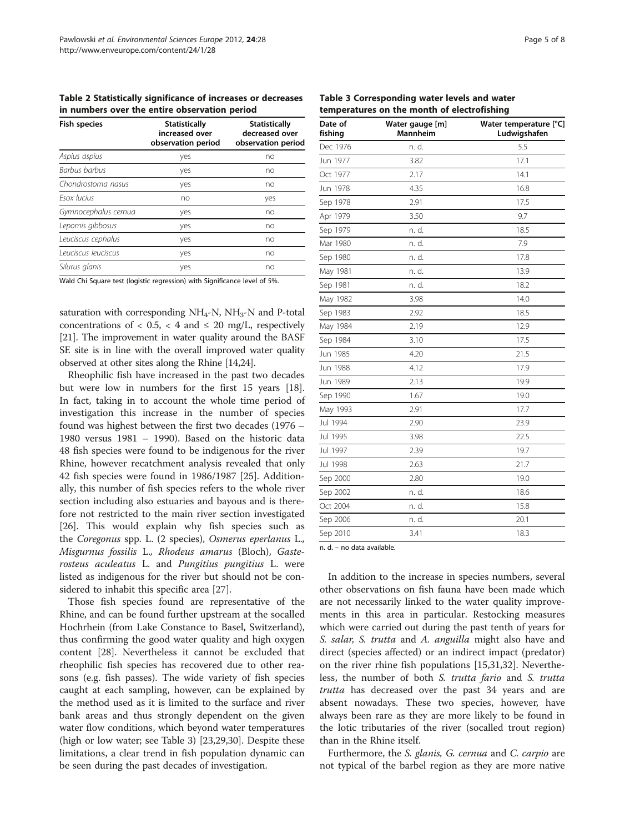<span id="page-4-0"></span>Table 2 Statistically significance of increases or decreases in numbers over the entire observation period

| <b>Fish species</b>  | <b>Statistically</b><br>increased over<br>observation period | <b>Statistically</b><br>decreased over<br>observation period |  |
|----------------------|--------------------------------------------------------------|--------------------------------------------------------------|--|
| Aspius aspius        | yes                                                          | no                                                           |  |
| Barbus barbus        | yes                                                          | no                                                           |  |
| Chondrostoma nasus   | yes                                                          | no                                                           |  |
| <b>Fsox lucius</b>   | no                                                           | yes                                                          |  |
| Gymnocephalus cernua | yes                                                          | no                                                           |  |
| Lepomis gibbosus     | yes                                                          | no                                                           |  |
| Leuciscus cephalus   | yes                                                          | no                                                           |  |
| Leuciscus leuciscus  | yes                                                          | no                                                           |  |
| Silurus glanis       | yes                                                          | no                                                           |  |

Wald Chi Square test (logistic regression) with Significance level of 5%.

saturation with corresponding  $NH<sub>4</sub>$ -N,  $NH<sub>3</sub>$ -N and P-total concentrations of  $\langle 0.5, \langle 4 \rangle$  and  $\leq 20$  mg/L, respectively [[21](#page-6-0)]. The improvement in water quality around the BASF SE site is in line with the overall improved water quality observed at other sites along the Rhine [[14,24\]](#page-6-0).

Rheophilic fish have increased in the past two decades but were low in numbers for the first 15 years [\[18](#page-6-0)]. In fact, taking in to account the whole time period of investigation this increase in the number of species found was highest between the first two decades (1976 – 1980 versus 1981 – 1990). Based on the historic data 48 fish species were found to be indigenous for the river Rhine, however recatchment analysis revealed that only 42 fish species were found in 1986/1987 [\[25\]](#page-6-0). Additionally, this number of fish species refers to the whole river section including also estuaries and bayous and is therefore not restricted to the main river section investigated [[26\]](#page-6-0). This would explain why fish species such as the Coregonus spp. L. (2 species), Osmerus eperlanus L., Misgurnus fossilis L., Rhodeus amarus (Bloch), Gasterosteus aculeatus L. and Pungitius pungitius L. were listed as indigenous for the river but should not be considered to inhabit this specific area [[27](#page-6-0)].

Those fish species found are representative of the Rhine, and can be found further upstream at the socalled Hochrhein (from Lake Constance to Basel, Switzerland), thus confirming the good water quality and high oxygen content [\[28](#page-6-0)]. Nevertheless it cannot be excluded that rheophilic fish species has recovered due to other reasons (e.g. fish passes). The wide variety of fish species caught at each sampling, however, can be explained by the method used as it is limited to the surface and river bank areas and thus strongly dependent on the given water flow conditions, which beyond water temperatures (high or low water; see Table 3) [\[23](#page-6-0)[,29,30](#page-7-0)]. Despite these limitations, a clear trend in fish population dynamic can be seen during the past decades of investigation.

Table 3 Corresponding water levels and water temperatures on the month of electrofishing

| Date of<br>fishing | Water gauge [m]<br><b>Mannheim</b> | Water temperature [°C]<br>Ludwigshafen |
|--------------------|------------------------------------|----------------------------------------|
| Dec 1976           | n. d.                              | 5.5                                    |
| Jun 1977           | 3.82                               | 17.1                                   |
| Oct 1977           | 2.17                               | 14.1                                   |
| Jun 1978           | 4.35                               | 16.8                                   |
| Sep 1978           | 2.91                               | 17.5                                   |
| Apr 1979           | 3.50                               | 9.7                                    |
| Sep 1979           | n. d.                              | 18.5                                   |
| Mar 1980           | n. d.                              | 7.9                                    |
| Sep 1980           | n. d.                              | 17.8                                   |
| May 1981           | n. d.                              | 13.9                                   |
| Sep 1981           | n. d.                              | 18.2                                   |
| May 1982           | 3.98                               | 14.0                                   |
| Sep 1983           | 2.92                               | 18.5                                   |
| May 1984           | 2.19                               | 12.9                                   |
| Sep 1984           | 3.10                               | 17.5                                   |
| Jun 1985           | 4.20                               | 21.5                                   |
| Jun 1988           | 4.12                               | 17.9                                   |
| Jun 1989           | 2.13                               | 19.9                                   |
| Sep 1990           | 1.67                               | 19.0                                   |
| May 1993           | 2.91                               | 17.7                                   |
| Jul 1994           | 2.90                               | 23.9                                   |
| Jul 1995           | 3.98                               | 22.5                                   |
| Jul 1997           | 2.39                               | 19.7                                   |
| Jul 1998           | 2.63                               | 21.7                                   |
| Sep 2000           | 2.80                               | 19.0                                   |
| Sep 2002           | n. d.                              | 18.6                                   |
| Oct 2004           | n. d.                              | 15.8                                   |
| Sep 2006           | n. d.                              | 20.1                                   |
| Sep 2010           | 3.41                               | 18.3                                   |
|                    | $\cdots$                           |                                        |

n. d. – no data available.

In addition to the increase in species numbers, several other observations on fish fauna have been made which are not necessarily linked to the water quality improvements in this area in particular. Restocking measures which were carried out during the past tenth of years for S. salar, S. trutta and A. anguilla might also have and direct (species affected) or an indirect impact (predator) on the river rhine fish populations [[15,](#page-6-0)[31,32\]](#page-7-0). Nevertheless, the number of both S. trutta fario and S. trutta trutta has decreased over the past 34 years and are absent nowadays. These two species, however, have always been rare as they are more likely to be found in the lotic tributaries of the river (socalled trout region) than in the Rhine itself.

Furthermore, the S. glanis, G. cernua and C. carpio are not typical of the barbel region as they are more native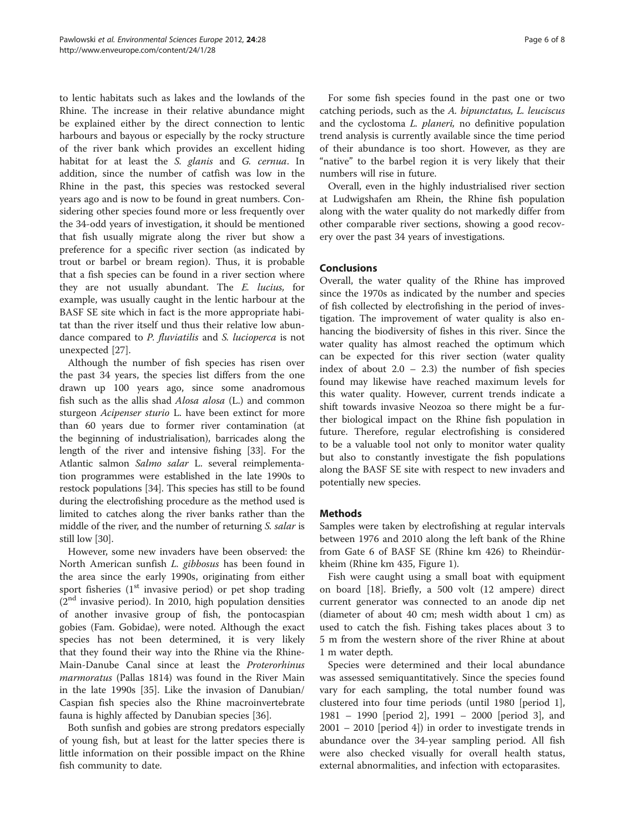to lentic habitats such as lakes and the lowlands of the Rhine. The increase in their relative abundance might be explained either by the direct connection to lentic harbours and bayous or especially by the rocky structure of the river bank which provides an excellent hiding habitat for at least the S. glanis and G. cernua. In addition, since the number of catfish was low in the Rhine in the past, this species was restocked several years ago and is now to be found in great numbers. Considering other species found more or less frequently over the 34-odd years of investigation, it should be mentioned that fish usually migrate along the river but show a preference for a specific river section (as indicated by trout or barbel or bream region). Thus, it is probable that a fish species can be found in a river section where they are not usually abundant. The E. lucius, for example, was usually caught in the lentic harbour at the BASF SE site which in fact is the more appropriate habitat than the river itself und thus their relative low abundance compared to P. fluviatilis and S. lucioperca is not unexpected [[27](#page-6-0)].

Although the number of fish species has risen over the past 34 years, the species list differs from the one drawn up 100 years ago, since some anadromous fish such as the allis shad Alosa alosa (L.) and common sturgeon Acipenser sturio L. have been extinct for more than 60 years due to former river contamination (at the beginning of industrialisation), barricades along the length of the river and intensive fishing [[33](#page-7-0)]. For the Atlantic salmon Salmo salar L. several reimplementation programmes were established in the late 1990s to restock populations [\[34\]](#page-7-0). This species has still to be found during the electrofishing procedure as the method used is limited to catches along the river banks rather than the middle of the river, and the number of returning S. salar is still low [\[30](#page-7-0)].

However, some new invaders have been observed: the North American sunfish L. gibbosus has been found in the area since the early 1990s, originating from either sport fisheries  $(1<sup>st</sup>$  invasive period) or pet shop trading  $(2<sup>nd</sup>$  invasive period). In 2010, high population densities of another invasive group of fish, the pontocaspian gobies (Fam. Gobidae), were noted. Although the exact species has not been determined, it is very likely that they found their way into the Rhine via the Rhine-Main-Danube Canal since at least the Proterorhinus marmoratus (Pallas 1814) was found in the River Main in the late 1990s [\[35\]](#page-7-0). Like the invasion of Danubian/ Caspian fish species also the Rhine macroinvertebrate fauna is highly affected by Danubian species [[36\]](#page-7-0).

Both sunfish and gobies are strong predators especially of young fish, but at least for the latter species there is little information on their possible impact on the Rhine fish community to date.

For some fish species found in the past one or two catching periods, such as the A. bipunctatus, L. leuciscus and the cyclostoma L. planeri, no definitive population trend analysis is currently available since the time period of their abundance is too short. However, as they are "native" to the barbel region it is very likely that their numbers will rise in future.

Overall, even in the highly industrialised river section at Ludwigshafen am Rhein, the Rhine fish population along with the water quality do not markedly differ from other comparable river sections, showing a good recovery over the past 34 years of investigations.

## Conclusions

Overall, the water quality of the Rhine has improved since the 1970s as indicated by the number and species of fish collected by electrofishing in the period of investigation. The improvement of water quality is also enhancing the biodiversity of fishes in this river. Since the water quality has almost reached the optimum which can be expected for this river section (water quality index of about  $2.0 - 2.3$  the number of fish species found may likewise have reached maximum levels for this water quality. However, current trends indicate a shift towards invasive Neozoa so there might be a further biological impact on the Rhine fish population in future. Therefore, regular electrofishing is considered to be a valuable tool not only to monitor water quality but also to constantly investigate the fish populations along the BASF SE site with respect to new invaders and potentially new species.

#### **Methods**

Samples were taken by electrofishing at regular intervals between 1976 and 2010 along the left bank of the Rhine from Gate 6 of BASF SE (Rhine km 426) to Rheindürkheim (Rhine km 435, Figure [1](#page-1-0)).

Fish were caught using a small boat with equipment on board [[18\]](#page-6-0). Briefly, a 500 volt (12 ampere) direct current generator was connected to an anode dip net (diameter of about 40 cm; mesh width about 1 cm) as used to catch the fish. Fishing takes places about 3 to 5 m from the western shore of the river Rhine at about 1 m water depth.

Species were determined and their local abundance was assessed semiquantitatively. Since the species found vary for each sampling, the total number found was clustered into four time periods (until 1980 [period 1], 1981 – 1990 [period 2], 1991 – 2000 [period 3], and 2001 – 2010 [period 4]) in order to investigate trends in abundance over the 34-year sampling period. All fish were also checked visually for overall health status, external abnormalities, and infection with ectoparasites.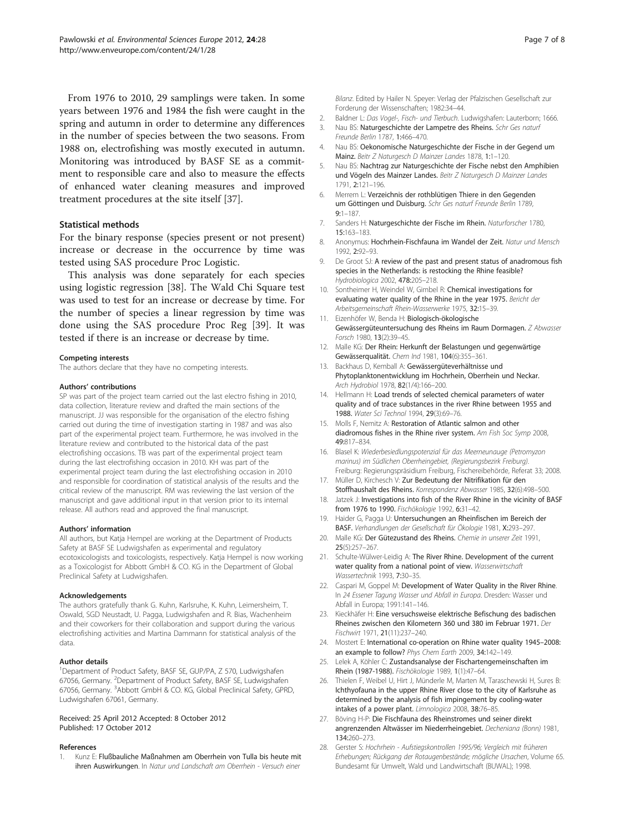<span id="page-6-0"></span>From 1976 to 2010, 29 samplings were taken. In some years between 1976 and 1984 the fish were caught in the spring and autumn in order to determine any differences in the number of species between the two seasons. From 1988 on, electrofishing was mostly executed in autumn. Monitoring was introduced by BASF SE as a commitment to responsible care and also to measure the effects of enhanced water cleaning measures and improved treatment procedures at the site itself [\[37](#page-7-0)].

#### Statistical methods

For the binary response (species present or not present) increase or decrease in the occurrence by time was tested using SAS procedure Proc Logistic.

This analysis was done separately for each species using logistic regression [[38](#page-7-0)]. The Wald Chi Square test was used to test for an increase or decrease by time. For the number of species a linear regression by time was done using the SAS procedure Proc Reg [\[39](#page-7-0)]. It was tested if there is an increase or decrease by time.

#### Competing interests

The authors declare that they have no competing interests.

#### Authors' contributions

SP was part of the project team carried out the last electro fishing in 2010, data collection, literature review and drafted the main sections of the manuscript. JJ was responsible for the organisation of the electro fishing carried out during the time of investigation starting in 1987 and was also part of the experimental project team. Furthermore, he was involved in the literature review and contributed to the historical data of the past electrofishing occasions. TB was part of the experimental project team during the last electrofishing occasion in 2010. KH was part of the experimental project team during the last electrofishing occasion in 2010 and responsible for coordination of statistical analysis of the results and the critical review of the manuscript. RM was reviewing the last version of the manuscript and gave additional input in that version prior to its internal release. All authors read and approved the final manuscript.

#### Authors' information

All authors, but Katja Hempel are working at the Department of Products Safety at BASF SE Ludwigshafen as experimental and regulatory ecotoxicologists and toxicologists, respectively. Katja Hempel is now working as a Toxicologist for Abbott GmbH & CO. KG in the Department of Global Preclinical Safety at Ludwigshafen.

#### Acknowledgements

The authors gratefully thank G. Kuhn, Karlsruhe, K. Kuhn, Leimersheim, T. Oswald, SGD Neustadt, U. Pagga, Ludwigshafen and R. Bias, Wachenheim and their coworkers for their collaboration and support during the various electrofishing activities and Martina Dammann for statistical analysis of the data.

#### Author details

<sup>1</sup>Department of Product Safety, BASF SE, GUP/PA, Z 570, Ludwigshafen 67056, Germany. <sup>2</sup>Department of Product Safety, BASF SE, Ludwigshafen 67056, Germany. <sup>3</sup>Abbott GmbH & CO. KG, Global Preclinical Safety, GPRD, Ludwigshafen 67061, Germany.

#### Received: 25 April 2012 Accepted: 8 October 2012 Published: 17 October 2012

#### References

1. Kunz E: Flußbauliche Maßnahmen am Oberrhein von Tulla bis heute mit ihren Auswirkungen. In Natur und Landschaft am Oberrhein - Versuch einer

Bilanz. Edited by Hailer N. Speyer: Verlag der Pfalzischen Gesellschaft zur Forderung der Wissenschaften; 1982:34–44.

- 2. Baldner L: Das Vogel-, Fisch- und Tierbuch. Ludwigshafen: Lauterborn; 1666.
- 3. Nau BS: Naturgeschichte der Lampetre des Rheins. Schr Ges naturf Freunde Berlin 1787, 1:466–470.
- 4. Nau BS: Oekonomische Naturgeschichte der Fische in der Gegend um Mainz. Beitr Z Naturgesch D Mainzer Landes 1878, 1:1–120.
- 5. Nau BS: Nachtrag zur Naturgeschichte der Fische nebst den Amphibien und Vögeln des Mainzer Landes. Beitr Z Naturgesch D Mainzer Landes 1791, 2:121–196.
- 6. Merrem L: Verzeichnis der rothblütigen Thiere in den Gegenden um Göttingen und Duisburg. Schr Ges naturf Freunde Berlin 1789, 9:1–187.
- 7. Sanders H: Naturgeschichte der Fische im Rhein. Naturforscher 1780, 15:163–183.
- 8. Anonymus: Hochrhein-Fischfauna im Wandel der Zeit. Natur und Mensch 1992, 2:92–93.
- 9. De Groot SJ: A review of the past and present status of anadromous fish species in the Netherlands: is restocking the Rhine feasible? Hydrobiologica 2002, 478:205–218.
- 10. Sontheimer H, Weindel W, Gimbel R: Chemical investigations for evaluating water quality of the Rhine in the year 1975. Bericht der Arbeitsgemeinschaft Rhein-Wasserwerke 1975, 32:15–39.
- 11. Eizenhöfer W, Benda H: Biologisch-ökologische Gewässergüteuntersuchung des Rheins im Raum Dormagen. Z Abwasser Forsch 1980, 13(2):39–45.
- 12. Malle KG: Der Rhein: Herkunft der Belastungen und gegenwärtige Gewässerqualität. Chem Ind 1981, 104(6):355–361.
- 13. Backhaus D, Kemball A: Gewässergüteverhältnisse und Phytoplanktonentwicklung im Hochrhein, Oberrhein und Neckar. Arch Hydrobiol 1978, 82(1/4):166–200.
- 14. Hellmann H: Load trends of selected chemical parameters of water quality and of trace substances in the river Rhine between 1955 and 1988. Water Sci Technol 1994, 29(3):69–76.
- 15. Molls F, Nemitz A: Restoration of Atlantic salmon and other diadromous fishes in the Rhine river system. Am Fish Soc Symp 2008, 49:817–834.
- 16. Blasel K: Wiederbesiedlungspotenzial für das Meerneunauge (Petromyzon marinus) im Südlichen Oberrheingebiet, (Regierungsbezirk Freiburg). Freiburg: Regierungspräsidium Freiburg, Fischereibehörde, Referat 33; 2008.
- 17. Müller D, Kirchesch V: Zur Bedeutung der Nitrifikation für den Stoffhaushalt des Rheins. Korrespondenz Abwasser 1985, 32(6):498–500.
- 18. Jatzek J: Investigations into fish of the River Rhine in the vicinity of BASF from 1976 to 1990. Fischökologie 1992, 6:31–42.
- 19. Haider G, Pagga U: Untersuchungen an Rheinfischen im Bereich der BASF. Verhandlungen der Gesellschaft für Ökologie 1981, X:293–297.
- 20. Malle KG: Der Gütezustand des Rheins. Chemie in unserer Zeit 1991, 25(5):257–267.
- 21. Schulte-Wülwer-Leidig A: The River Rhine. Development of the current water quality from a national point of view. Wasserwirtschaft Wassertechnik 1993, 7:30–35.
- 22. Caspari M, Goppel M: Development of Water Quality in the River Rhine. In 24 Essener Tagung Wasser und Abfall in Europa. Dresden: Wasser und Abfall in Europa; 1991:141–146.
- 23. Kieckhäfer H: Eine versuchsweise elektrische Befischung des badischen Rheines zwischen den Kilometern 360 und 380 im Februar 1971. Der Fischwirt 1971, 21(11):237–240.
- 24. Mostert E: International co-operation on Rhine water quality 1945–2008: an example to follow? Phys Chem Earth 2009, 34:142–149.
- 25. Lelek A, Köhler C: Zustandsanalyse der Fischartengemeinschaften im Rhein (1987-1988). Fischökologie 1989, 1(1):47–64.
- 26. Thielen F, Weibel U, Hirt J, Münderle M, Marten M, Taraschewski H, Sures B: Ichthyofauna in the upper Rhine River close to the city of Karlsruhe as determined by the analysis of fish impingement by cooling-water intakes of a power plant. Limnologica 2008, 38:76–85.
- 27. Böving H-P: Die Fischfauna des Rheinstromes und seiner direkt angrenzenden Altwässer im Niederrheingebiet. Decheniana (Bonn) 1981, 134:260–273.
- 28. Gerster S: Hochrhein Aufstiegskontrollen 1995/96; Vergleich mit früheren Erhebungen; Rückgang der Rotaugenbestände; mögliche Ursachen, Volume 65. Bundesamt für Umwelt, Wald und Landwirtschaft (BUWAL); 1998.